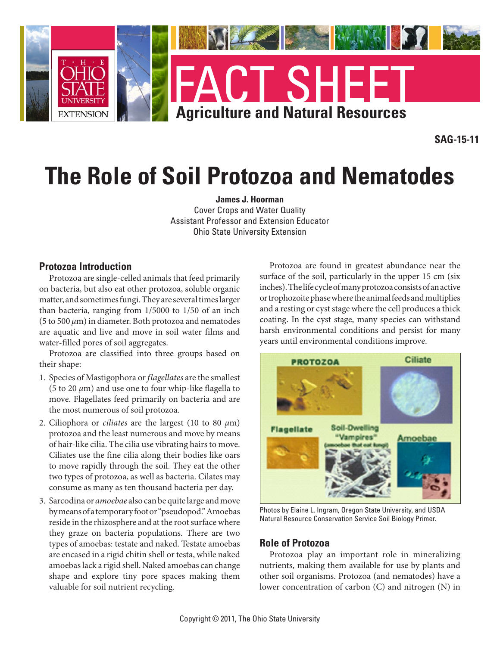

**SAG-15-11**

# **The Role of Soil Protozoa and Nematodes**

**James J. Hoorman** Cover Crops and Water Quality Assistant Professor and Extension Educator Ohio State University Extension

#### **Protozoa Introduction**

Protozoa are single-celled animals that feed primarily on bacteria, but also eat other protozoa, soluble organic matter, and sometimes fungi. They are several times larger than bacteria, ranging from 1/5000 to 1/50 of an inch (5 to 500 *µ*m) in diameter. Both protozoa and nematodes are aquatic and live and move in soil water films and water-filled pores of soil aggregates.

Protozoa are classified into three groups based on their shape:

- 1. Species of Mastigophora or *flagellates* are the smallest (5 to 20  $\mu$ m) and use one to four whip-like flagella to move. Flagellates feed primarily on bacteria and are the most numerous of soil protozoa.
- 2. Ciliophora or *ciliates* are the largest (10 to 80 *µ*m) protozoa and the least numerous and move by means of hair-like cilia. The cilia use vibrating hairs to move. Ciliates use the fine cilia along their bodies like oars to move rapidly through the soil. They eat the other two types of protozoa, as well as bacteria. Cilates may consume as many as ten thousand bacteria per day.
- 3. Sarcodina or *amoebae* also can be quite large and move by means of a temporary foot or "pseudopod." Amoebas reside in the rhizosphere and at the root surface where they graze on bacteria populations. There are two types of amoebas: testate and naked. Testate amoebas are encased in a rigid chitin shell or testa, while naked amoebas lack a rigid shell. Naked amoebas can change shape and explore tiny pore spaces making them valuable for soil nutrient recycling.

Protozoa are found in greatest abundance near the surface of the soil, particularly in the upper 15 cm (six inches). The life cycle of many protozoa consists of an active or trophozoite phase where the animal feeds and multiplies and a resting or cyst stage where the cell produces a thick coating. In the cyst stage, many species can withstand harsh environmental conditions and persist for many years until environmental conditions improve.



Photos by Elaine L. Ingram, Oregon State University, and USDA Natural Resource Conservation Service Soil Biology Primer.

#### **Role of Protozoa**

Protozoa play an important role in mineralizing nutrients, making them available for use by plants and other soil organisms. Protozoa (and nematodes) have a lower concentration of carbon (C) and nitrogen (N) in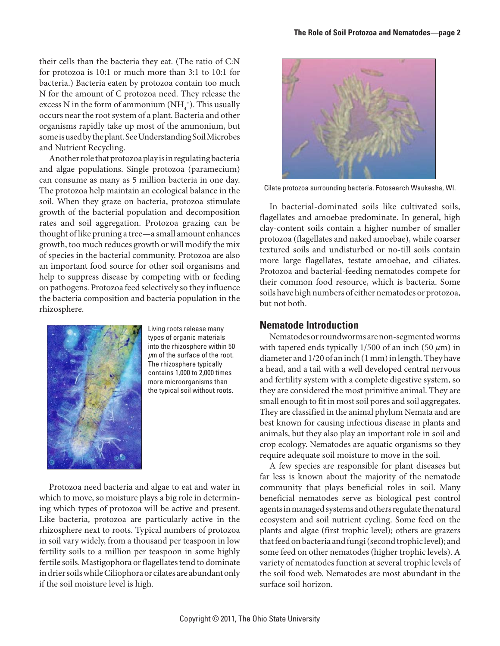their cells than the bacteria they eat. (The ratio of C:N for protozoa is 10:1 or much more than 3:1 to 10:1 for bacteria.) Bacteria eaten by protozoa contain too much N for the amount of C protozoa need. They release the excess N in the form of ammonium (NH $_4^{\rm +})$ . This usually occurs near the root system of a plant. Bacteria and other organisms rapidly take up most of the ammonium, but some is used by the plant. See Understanding Soil Microbes and Nutrient Recycling.

Another role that protozoa play is in regulating bacteria and algae populations. Single protozoa (paramecium) can consume as many as 5 million bacteria in one day. The protozoa help maintain an ecological balance in the soil. When they graze on bacteria, protozoa stimulate growth of the bacterial population and decomposition rates and soil aggregation. Protozoa grazing can be thought of like pruning a tree—a small amount enhances growth, too much reduces growth or will modify the mix of species in the bacterial community. Protozoa are also an important food source for other soil organisms and help to suppress disease by competing with or feeding on pathogens. Protozoa feed selectively so they influence the bacteria composition and bacteria population in the rhizosphere.



Living roots release many types of organic materials into the rhizosphere within 50 *µ*m of the surface of the root. The rhizosphere typically contains 1,000 to 2,000 times more microorganisms than the typical soil without roots.

Protozoa need bacteria and algae to eat and water in which to move, so moisture plays a big role in determining which types of protozoa will be active and present. Like bacteria, protozoa are particularly active in the rhizosphere next to roots. Typical numbers of protozoa in soil vary widely, from a thousand per teaspoon in low fertility soils to a million per teaspoon in some highly fertile soils. Mastigophora or flagellates tend to dominate in drier soils while Ciliophora or cilates are abundant only if the soil moisture level is high.



Cilate protozoa surrounding bacteria. Fotosearch Waukesha, WI.

In bacterial-dominated soils like cultivated soils, flagellates and amoebae predominate. In general, high clay-content soils contain a higher number of smaller protozoa (flagellates and naked amoebae), while coarser textured soils and undisturbed or no-till soils contain more large flagellates, testate amoebae, and ciliates. Protozoa and bacterial-feeding nematodes compete for their common food resource, which is bacteria. Some soils have high numbers of either nematodes or protozoa, but not both.

#### **Nematode Introduction**

Nematodes or roundworms are non-segmented worms with tapered ends typically 1/500 of an inch (50 *µ*m) in diameter and 1/20 of an inch (1 mm) in length. They have a head, and a tail with a well developed central nervous and fertility system with a complete digestive system, so they are considered the most primitive animal. They are small enough to fit in most soil pores and soil aggregates. They are classified in the animal phylum Nemata and are best known for causing infectious disease in plants and animals, but they also play an important role in soil and crop ecology. Nematodes are aquatic organisms so they require adequate soil moisture to move in the soil.

A few species are responsible for plant diseases but far less is known about the majority of the nematode community that plays beneficial roles in soil. Many beneficial nematodes serve as biological pest control agents in managed systems and others regulate the natural ecosystem and soil nutrient cycling. Some feed on the plants and algae (first trophic level); others are grazers that feed on bacteria and fungi (second trophic level); and some feed on other nematodes (higher trophic levels). A variety of nematodes function at several trophic levels of the soil food web. Nematodes are most abundant in the surface soil horizon.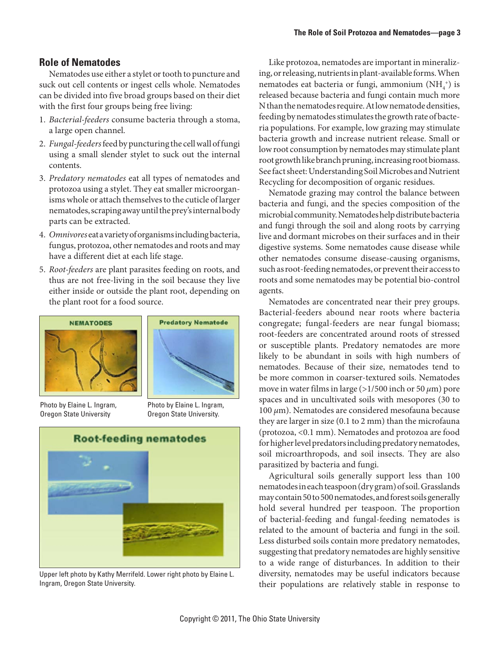# **Role of Nematodes**

Nematodes use either a stylet or tooth to puncture and suck out cell contents or ingest cells whole. Nematodes can be divided into five broad groups based on their diet with the first four groups being free living:

- 1. *Bacterial-feeders* consume bacteria through a stoma, a large open channel.
- 2. *Fungal-feeders* feed by puncturing the cell wall of fungi using a small slender stylet to suck out the internal contents.
- 3. *Predatory nematodes* eat all types of nematodes and protozoa using a stylet. They eat smaller microorganisms whole or attach themselves to the cuticle of larger nematodes, scraping away until the prey's internal body parts can be extracted.
- 4. *Omnivores* eat a variety of organisms including bacteria, fungus, protozoa, other nematodes and roots and may have a different diet at each life stage.
- 5. *Root-feeders* are plant parasites feeding on roots, and thus are not free-living in the soil because they live either inside or outside the plant root, depending on the plant root for a food source.



Photo by Elaine L. Ingram, Oregon State University



Photo by Elaine L. Ingram, Oregon State University.



Upper left photo by Kathy Merrifeld. Lower right photo by Elaine L. Ingram, Oregon State University.

Like protozoa, nematodes are important in mineralizing, or releasing, nutrients in plant-available forms. When nematodes eat bacteria or fungi, ammonium  $(NH_4^+)$  is released because bacteria and fungi contain much more N than the nematodes require. At low nematode densities, feeding by nematodes stimulates the growth rate of bacteria populations. For example, low grazing may stimulate bacteria growth and increase nutrient release. Small or low root consumption by nematodes may stimulate plant root growth like branch pruning, increasing root biomass. See fact sheet: Understanding Soil Microbes and Nutrient Recycling for decomposition of organic residues.

Nematode grazing may control the balance between bacteria and fungi, and the species composition of the microbial community. Nematodes help distribute bacteria and fungi through the soil and along roots by carrying live and dormant microbes on their surfaces and in their digestive systems. Some nematodes cause disease while other nematodes consume disease-causing organisms, such as root-feeding nematodes, or prevent their access to roots and some nematodes may be potential bio-control agents.

Nematodes are concentrated near their prey groups. Bacterial-feeders abound near roots where bacteria congregate; fungal-feeders are near fungal biomass; root-feeders are concentrated around roots of stressed or susceptible plants. Predatory nematodes are more likely to be abundant in soils with high numbers of nematodes. Because of their size, nematodes tend to be more common in coarser-textured soils. Nematodes move in water films in large (>1/500 inch or 50 *µ*m) pore spaces and in uncultivated soils with mesopores (30 to 100 *µ*m). Nematodes are considered mesofauna because they are larger in size (0.1 to 2 mm) than the microfauna (protozoa, <0.1 mm). Nematodes and protozoa are food for higher level predators including predatory nematodes, soil microarthropods, and soil insects. They are also parasitized by bacteria and fungi.

Agricultural soils generally support less than 100 nematodes in each teaspoon (dry gram) of soil. Grasslands may contain 50 to 500 nematodes, and forest soils generally hold several hundred per teaspoon. The proportion of bacterial-feeding and fungal-feeding nematodes is related to the amount of bacteria and fungi in the soil. Less disturbed soils contain more predatory nematodes, suggesting that predatory nematodes are highly sensitive to a wide range of disturbances. In addition to their diversity, nematodes may be useful indicators because their populations are relatively stable in response to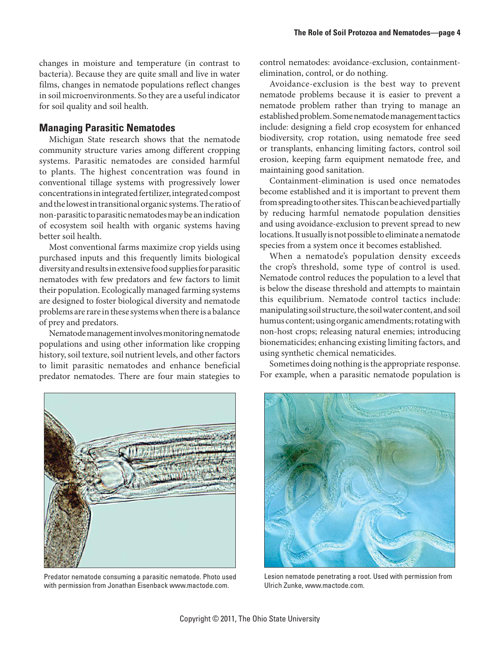changes in moisture and temperature (in contrast to bacteria). Because they are quite small and live in water films, changes in nematode populations reflect changes in soil microenvironments. So they are a useful indicator for soil quality and soil health.

### **Managing Parasitic Nematodes**

Michigan State research shows that the nematode community structure varies among different cropping systems. Parasitic nematodes are consided harmful to plants. The highest concentration was found in conventional tillage systems with progressively lower concentrations in integrated fertilizer, integrated compost and the lowest in transitional organic systems. The ratio of non-parasitic to parasitic nematodes may be an indication of ecosystem soil health with organic systems having better soil health.

Most conventional farms maximize crop yields using purchased inputs and this frequently limits biological diversity and results in extensive food supplies for parasitic nematodes with few predators and few factors to limit their population. Ecologically managed farming systems are designed to foster biological diversity and nematode problems are rare in these systems when there is a balance of prey and predators.

Nematode management involves monitoring nematode populations and using other information like cropping history, soil texture, soil nutrient levels, and other factors to limit parasitic nematodes and enhance beneficial predator nematodes. There are four main stategies to



Predator nematode consuming a parasitic nematode. Photo used with permission from Jonathan Eisenback www.mactode.com.

control nematodes: avoidance-exclusion, containmentelimination, control, or do nothing.

Avoidance-exclusion is the best way to prevent nematode problems because it is easier to prevent a nematode problem rather than trying to manage an established problem. Some nematode management tactics include: designing a field crop ecosystem for enhanced biodiversity, crop rotation, using nematode free seed or transplants, enhancing limiting factors, control soil erosion, keeping farm equipment nematode free, and maintaining good sanitation.

Containment-elimination is used once nematodes become established and it is important to prevent them from spreading to other sites. This can be achieved partially by reducing harmful nematode population densities and using avoidance-exclusion to prevent spread to new locations. It usually is not possible to eliminate a nematode species from a system once it becomes established.

When a nematode's population density exceeds the crop's threshold, some type of control is used. Nematode control reduces the population to a level that is below the disease threshold and attempts to maintain this equilibrium. Nematode control tactics include: manipulating soil structure, the soil water content, and soil humus content; using organic amendments; rotating with non-host crops; releasing natural enemies; introducing bionematicides; enhancing existing limiting factors, and using synthetic chemical nematicides.

Sometimes doing nothing is the appropriate response. For example, when a parasitic nematode population is



Lesion nematode penetrating a root. Used with permission from Ulrich Zunke, www.mactode.com.